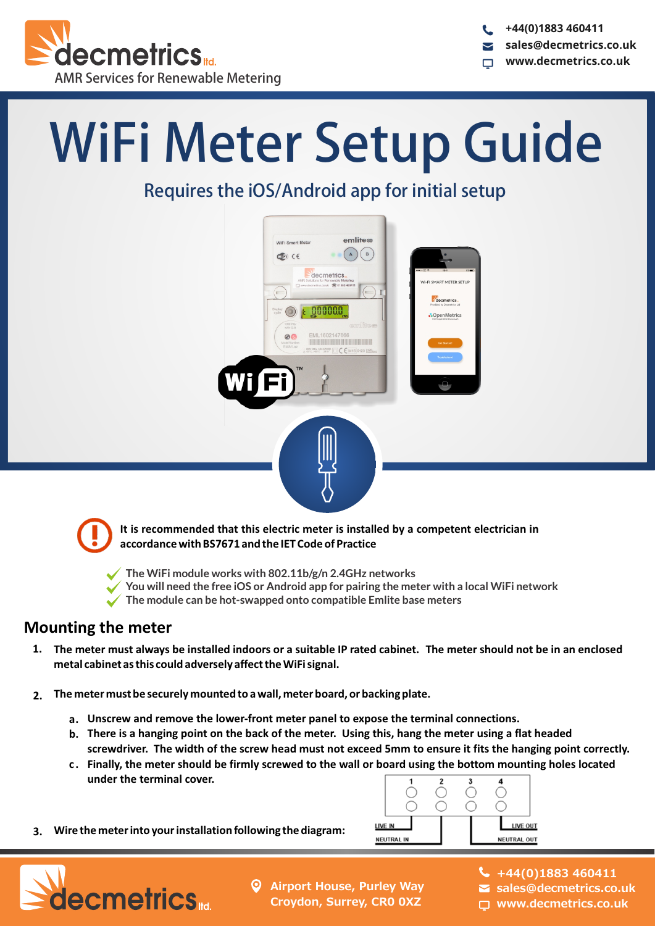

**+44(0)1883 460411 sales@decmetrics.co.uk www.decmetrics.co.uk**

# WiFi Meter Setup Guide

## Requires the iOS/Android app for initial setup





It is recommended that this electric meter is installed by a competent electrician in **accordance with BS7671 and the IET Code of Practice**

**The WiFi module works with 802.11b/g/n 2.4GHz networks**

**You will need the free iOS or Android app for pairing the meter with a local WiFi network** 

**The module can be hot-swapped onto compatible Emlite base meters**

#### **Mounting the meter**

- 1. The meter must always be installed indoors or a suitable IP rated cabinet. The meter should not be in an enclosed metal cabinet as this could adversely affect the WiFi signal.
- **2.** The meter must be securely mounted to a wall, meter board, or backing plate.
	- **Unscrew and remove the lower-front meter panel to expose the terminal connections. a.**
	- **b.** There is a hanging point on the back of the meter. Using this, hang the meter using a flat headed screwdriver. The width of the screw head must not exceed 5mm to ensure it fits the hanging point correctly.
	- **Exambly, the meter should be firmly screwed to the wall or board using the bottom mounting holes located** under the terminal cover.
- **3.** Wire the meter into your installation following the diagram:





- **Airport House, Purley Way Croydon, Surrey, CR0 0XZ**
- **+44(0)1883 460411**
- **sales@decmetrics.co.uk**
	- **www.decmetrics.co.uk**